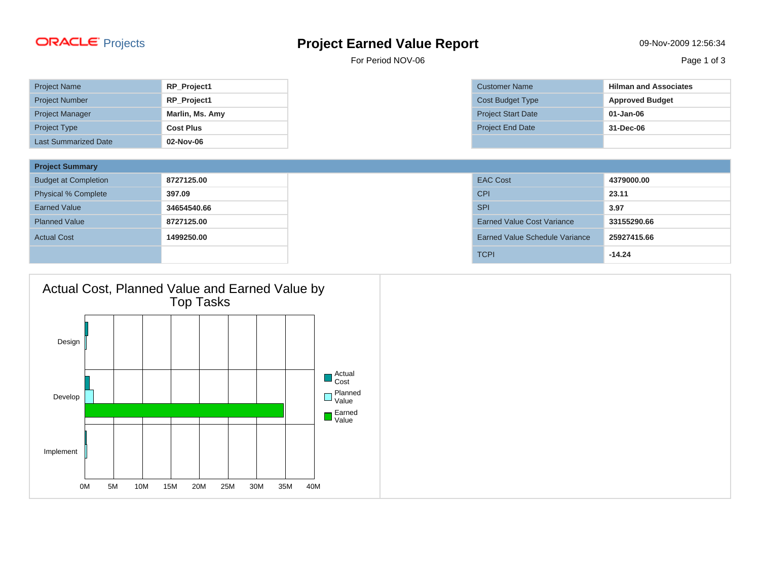## Projects **Project Earned Value Report** 09-Nov-2009 12:56:34

For Period NOV-06 Page 1 of 3

| <b>Project Name</b>         | RP_Project1      |
|-----------------------------|------------------|
| <b>Project Number</b>       | RP_Project1      |
| <b>Project Manager</b>      | Marlin, Ms. Amy  |
| <b>Project Type</b>         | <b>Cost Plus</b> |
| <b>Last Summarized Date</b> | 02-Nov-06        |

| <b>Project Summary</b>      |             |                                       |             |
|-----------------------------|-------------|---------------------------------------|-------------|
| <b>Budget at Completion</b> | 8727125.00  | <b>EAC Cost</b>                       | 4379000.00  |
| <b>Physical % Complete</b>  | 397.09      | <b>CPI</b>                            | 23.11       |
| <b>Earned Value</b>         | 34654540.66 | <b>SPI</b>                            | 3.97        |
| <b>Planned Value</b>        | 8727125.00  | <b>Earned Value Cost Variance</b>     | 33155290.66 |
| <b>Actual Cost</b>          | 1499250.00  | <b>Earned Value Schedule Variance</b> | 25927415.66 |
|                             |             | <b>TCPI</b>                           | $-14.24$    |



**Project Name Represent Associates Riman and Associates Project Budget Type Approved Budget**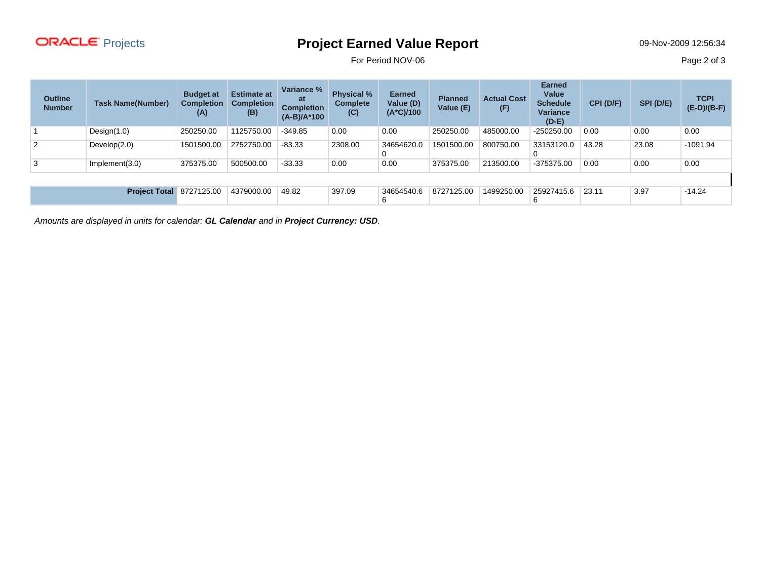

## Projects **Project Earned Value Report** 09-Nov-2009 12:56:34

For Period NOV-06 Page 2 of 3

| <b>Outline</b><br><b>Number</b> | <b>Task Name(Number)</b> | <b>Budget at</b><br><b>Completion</b><br>(A) | <b>Estimate at</b><br><b>Completion</b><br>(B) | Variance %<br>at<br><b>Completion</b><br>$(A-B)/A^*100$ | <b>Physical %</b><br><b>Complete</b><br>(C) | <b>Earned</b><br>Value (D)<br>$(A*C)/100$ | <b>Planned</b><br>Value (E) | <b>Actual Cost</b><br>(F) | <b>Earned</b><br>Value<br><b>Schedule</b><br><b>Variance</b><br>$(D-E)$ | CPI (D/F) | SPI (D/E) | <b>TCPI</b><br>$(E-D)/(B-F)$ |
|---------------------------------|--------------------------|----------------------------------------------|------------------------------------------------|---------------------------------------------------------|---------------------------------------------|-------------------------------------------|-----------------------------|---------------------------|-------------------------------------------------------------------------|-----------|-----------|------------------------------|
|                                 | Design $(1.0)$           | 250250.00                                    | 1125750.00                                     | $-349.85$                                               | 0.00                                        | 0.00                                      | 250250.00                   | 485000.00                 | $-250250.00$                                                            | 0.00      | 0.00      | 0.00                         |
| 2                               | Develop(2.0)             | 1501500.00                                   | 2752750.00                                     | $-83.33$                                                | 2308.00                                     | 34654620.0<br>0                           | 1501500.00                  | 800750.00                 | 33153120.0                                                              | 43.28     | 23.08     | $-1091.94$                   |
| 3                               | Implement(3.0)           | 375375.00                                    | 500500.00                                      | $-33.33$                                                | 0.00                                        | 0.00                                      | 375375.00                   | 213500.00                 | -375375.00                                                              | 0.00      | 0.00      | 0.00                         |
|                                 |                          |                                              |                                                |                                                         |                                             |                                           |                             |                           |                                                                         |           |           |                              |
|                                 | <b>Project Total</b>     | 8727125.00                                   | 4379000.00                                     | 49.82                                                   | 397.09                                      | 34654540.6<br>6                           | 8727125.00                  | 1499250.00                | 25927415.6                                                              | 23.11     | 3.97      | $-14.24$                     |

Amounts are displayed in units for calendar: **GL Calendar** and in **Project Currency: USD**.